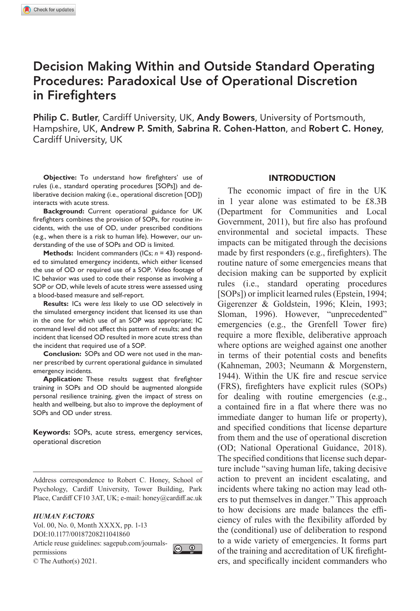# Decision Making Within and Outside Standard Operating Procedures: Paradoxical Use of Operational Discretion in Firefighters

Philip C. Butler, Cardiff University, UK, Andy Bowers, University of Portsmouth, Hampshire, UK, Andrew P. Smith, Sabrina R. Cohen-Hatton, and Robert C. Honey, Cardiff University, UK

**Objective:** To understand how firefighters' use of rules (i.e., standard operating procedures [SOPs]) and deliberative decision making (i.e., operational discretion [OD]) interacts with acute stress.

**Background:** Current operational guidance for UK firefighters combines the provision of SOPs, for routine incidents, with the use of OD, under prescribed conditions (e.g., when there is a risk to human life). However, our understanding of the use of SOPs and OD is limited.

**Methods:** Incident commanders (ICs; *n* = 43) responded to simulated emergency incidents, which either licensed the use of OD or required use of a SOP. Video footage of IC behavior was used to code their response as involving a SOP or OD, while levels of acute stress were assessed using a blood-based measure and self-report.

**Results:** ICs were *less* likely to use OD selectively in the simulated emergency incident that licensed its use than in the one for which use of an SOP was appropriate; IC command level did not affect this pattern of results; and the incident that licensed OD resulted in more acute stress than the incident that required use of a SOP.

**Conclusion:** SOPs and OD were not used in the manner prescribed by current operational guidance in simulated emergency incidents.

**Application:** These results suggest that firefighter training in SOPs and OD should be augmented alongside personal resilience training, given the impact of stress on health and wellbeing, but also to improve the deployment of SOPs and OD under stress.

**Keywords:** SOPs, acute stress, emergency services, operational discretion

Address correspondence to Robert C. Honey, School of Psychology, Cardiff University, Tower Building, Park Place, Cardiff CF10 3AT, UK; e-mail: [honey@cardiff.ac.uk](mailto:honey@cardiff.ac.uk)

#### *HUMAN FACTORS*

Vol. 00, No. 0, Month XXXX, pp. 1-13 DOI:10.1177/00187208211041860 Article reuse guidelines: sagepub.com/journals-<br>normiscions permissions © The Author(s) 2021.



### INTRODUCTION

The economic impact of fire in the UK in 1 year alone was estimated to be £8.3B [\(Department for Communities and Local](#page-12-0) [Government, 2011\)](#page-12-0), but fire also has profound environmental and societal impacts. These impacts can be mitigated through the decisions made by first responders (e.g., firefighters). The routine nature of some emergencies means that decision making can be supported by explicit rules (i.e., standard operating procedures [SOPs]) or implicit learned rules [\(Epstein, 1994](#page-12-1); [Gigerenzer & Goldstein, 1996](#page-12-2); [Klein, 1993](#page-12-3); [Sloman, 1996](#page-12-4)). However, "unprecedented" emergencies (e.g., the Grenfell Tower fire) require a more flexible, deliberative approach where options are weighed against one another in terms of their potential costs and benefits [\(Kahneman, 2003;](#page-12-5) [Neumann & Morgenstern,](#page-12-6) [1944\)](#page-12-6). Within the UK fire and rescue service (FRS), firefighters have explicit rules (SOPs) for dealing with routine emergencies (e.g., a contained fire in a flat where there was no immediate danger to human life or property), and specified conditions that license departure from them and the use of operational discretion (OD; [National Operational Guidance, 2018](#page-12-7)). The specified conditions that license such departure include "saving human life, taking decisive action to prevent an incident escalating, and incidents where taking no action may lead others to put themselves in danger*.*" This approach to how decisions are made balances the efficiency of rules with the flexibility afforded by the (conditional) use of deliberation to respond to a wide variety of emergencies. It forms part of the training and accreditation of UK firefighters, and specifically incident commanders who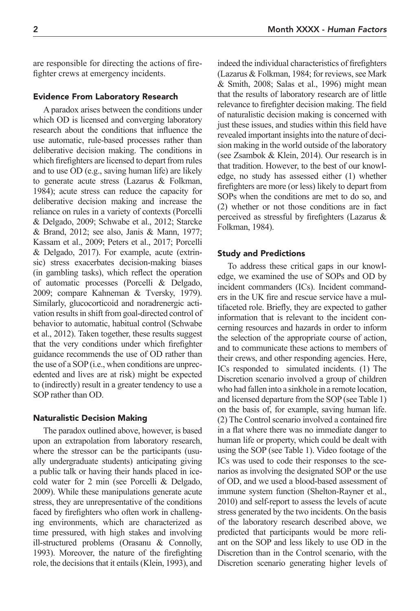are responsible for directing the actions of firefighter crews at emergency incidents.

#### Evidence From Laboratory Research

A paradox arises between the conditions under which OD is licensed and converging laboratory research about the conditions that influence the use automatic, rule-based processes rather than deliberative decision making. The conditions in which firefighters are licensed to depart from rules and to use OD (e.g., saving human life) are likely to generate acute stress [\(Lazarus & Folkman,](#page-12-8) [1984](#page-12-8)); acute stress can reduce the capacity for deliberative decision making and increase the reliance on rules in a variety of contexts ([Porcelli](#page-12-9) [& Delgado, 2009](#page-12-9); [Schwabe et](#page-12-10) al., 2012; [Starcke](#page-12-11) [& Brand, 2012](#page-12-11); see also, [Janis & Mann, 1977;](#page-12-12) [Kassam et](#page-12-13) al., 2009; Peters et [al., 2017](#page-12-14); [Porcelli](#page-12-15) [& Delgado, 2017\)](#page-12-15). For example, acute (extrinsic) stress exacerbates decision-making biases (in gambling tasks), which reflect the operation of automatic processes ([Porcelli & Delgado,](#page-12-9) [2009](#page-12-9); compare [Kahneman & Tversky, 1979\)](#page-12-16). Similarly, glucocorticoid and noradrenergic activation results in shift from goal-directed control of behavior to automatic, habitual control [\(Schwabe](#page-12-10) et [al., 2012\)](#page-12-10). Taken together, these results suggest that the very conditions under which firefighter guidance recommends the use of OD rather than the use of a SOP (i.e., when conditions are unprecedented and lives are at risk) might be expected to (indirectly) result in a greater tendency to use a SOP rather than OD.

#### Naturalistic Decision Making

The paradox outlined above, however, is based upon an extrapolation from laboratory research, where the stressor can be the participants (usually undergraduate students) anticipating giving a public talk or having their hands placed in icecold water for 2 min (see [Porcelli & Delgado,](#page-12-9) [2009](#page-12-9)). While these manipulations generate acute stress, they are unrepresentative of the conditions faced by firefighters who often work in challenging environments, which are characterized as time pressured, with high stakes and involving ill-structured problems [\(Orasanu & Connolly,](#page-12-17) [1993](#page-12-17)). Moreover, the nature of the firefighting role, the decisions that it entails [\(Klein, 1993\)](#page-12-3), and

indeed the individual characteristics of firefighters ([Lazarus & Folkman, 1984](#page-12-8); for reviews, see [Mark](#page-12-18) [& Smith, 2008](#page-12-18); Salas et [al., 1996\)](#page-12-19) might mean that the results of laboratory research are of little relevance to firefighter decision making. The field of naturalistic decision making is concerned with just these issues, and studies within this field have revealed important insights into the nature of decision making in the world outside of the laboratory (see [Zsambok & Klein, 2014\)](#page-12-20). Our research is in that tradition. However, to the best of our knowledge, no study has assessed either (1) whether firefighters are more (or less) likely to depart from SOPs when the conditions are met to do so, and (2) whether or not those conditions are in fact perceived as stressful by firefighters [\(Lazarus &](#page-12-8) [Folkman, 1984](#page-12-8)).

### Study and Predictions

To address these critical gaps in our knowledge, we examined the use of SOPs and OD by incident commanders (ICs). Incident commanders in the UK fire and rescue service have a multifaceted role. Briefly, they are expected to gather information that is relevant to the incident concerning resources and hazards in order to inform the selection of the appropriate course of action, and to communicate these actions to members of their crews, and other responding agencies. Here, ICs responded to simulated incidents. (1) The Discretion scenario involved a group of children who had fallen into a sinkhole in a remote location, and licensed departure from the SOP (see [Table](#page-2-0) 1) on the basis of, for example, saving human life. (2) The Control scenario involved a contained fire in a flat where there was no immediate danger to human life or property, which could be dealt with using the SOP (see [Table](#page-2-0) 1). Video footage of the ICs was used to code their responses to the scenarios as involving the designated SOP or the use of OD, and we used a blood-based assessment of immune system function [\(Shelton-Rayner et](#page-12-21) al., [2010\)](#page-12-21) and self-report to assess the levels of acute stress generated by the two incidents. On the basis of the laboratory research described above, we predicted that participants would be more reliant on the SOP and less likely to use OD in the Discretion than in the Control scenario, with the Discretion scenario generating higher levels of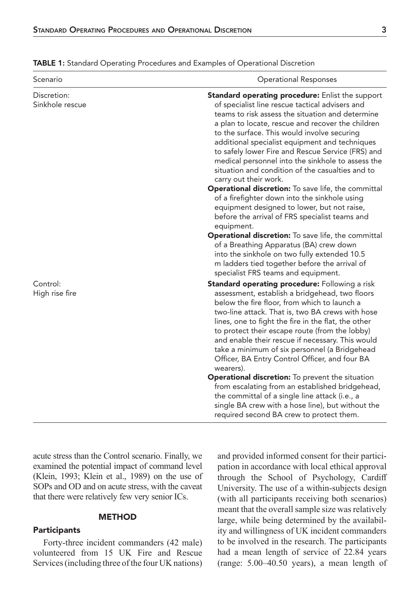| Scenario                       | <b>Operational Responses</b>                                                                                                                                                                                                                                                                                                                                                                                                                                                                                                                                                                                                                                                                                                                                                                                                                                                                                                                                                        |  |  |
|--------------------------------|-------------------------------------------------------------------------------------------------------------------------------------------------------------------------------------------------------------------------------------------------------------------------------------------------------------------------------------------------------------------------------------------------------------------------------------------------------------------------------------------------------------------------------------------------------------------------------------------------------------------------------------------------------------------------------------------------------------------------------------------------------------------------------------------------------------------------------------------------------------------------------------------------------------------------------------------------------------------------------------|--|--|
| Discretion:<br>Sinkhole rescue | Standard operating procedure: Enlist the support<br>of specialist line rescue tactical advisers and<br>teams to risk assess the situation and determine<br>a plan to locate, rescue and recover the children<br>to the surface. This would involve securing<br>additional specialist equipment and techniques<br>to safely lower Fire and Rescue Service (FRS) and<br>medical personnel into the sinkhole to assess the<br>situation and condition of the casualties and to<br>carry out their work.<br><b>Operational discretion:</b> To save life, the committal<br>of a firefighter down into the sinkhole using<br>equipment designed to lower, but not raise,<br>before the arrival of FRS specialist teams and<br>equipment.<br><b>Operational discretion:</b> To save life, the committal<br>of a Breathing Apparatus (BA) crew down<br>into the sinkhole on two fully extended 10.5<br>m ladders tied together before the arrival of<br>specialist FRS teams and equipment. |  |  |
| Control:<br>High rise fire     | <b>Standard operating procedure:</b> Following a risk<br>assessment, establish a bridgehead, two floors<br>below the fire floor, from which to launch a<br>two-line attack. That is, two BA crews with hose<br>lines, one to fight the fire in the flat, the other<br>to protect their escape route (from the lobby)<br>and enable their rescue if necessary. This would<br>take a minimum of six personnel (a Bridgehead<br>Officer, BA Entry Control Officer, and four BA<br>wearers).                                                                                                                                                                                                                                                                                                                                                                                                                                                                                            |  |  |

<span id="page-2-0"></span>TABLE 1: Standard Operating Procedures and Examples of Operational Discretion

acute stress than the Control scenario. Finally, we examined the potential impact of command level [\(Klein, 1993;](#page-12-3) Klein et [al., 1989](#page-12-22)) on the use of SOPs and OD and on acute stress, with the caveat that there were relatively few very senior ICs.

#### METHOD

#### **Participants**

Forty-three incident commanders (42 male) volunteered from 15 UK Fire and Rescue Services (including three of the four UK nations) and provided informed consent for their participation in accordance with local ethical approval through the School of Psychology, Cardiff University. The use of a within-subjects design (with all participants receiving both scenarios) meant that the overall sample size was relatively large, while being determined by the availability and willingness of UK incident commanders to be involved in the research. The participants had a mean length of service of 22.84 years (range: 5.00–40.50 years), a mean length of

Operational discretion: To prevent the situation from escalating from an established bridgehead, the committal of a single line attack (i.e., a single BA crew with a hose line), but without the required second BA crew to protect them.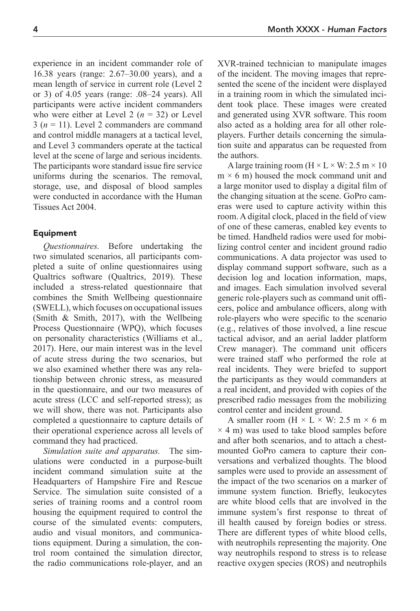experience in an incident commander role of 16.38 years (range: 2.67–30.00 years), and a mean length of service in current role (Level 2 or 3) of 4.05 years (range: .08–24 years). All participants were active incident commanders who were either at Level 2  $(n = 32)$  or Level  $3(n = 11)$ . Level 2 commanders are command and control middle managers at a tactical level, and Level 3 commanders operate at the tactical level at the scene of large and serious incidents. The participants wore standard issue fire service uniforms during the scenarios. The removal, storage, use, and disposal of blood samples were conducted in accordance with the Human Tissues Act 2004.

### Equipment

*Questionnaires.* Before undertaking the two simulated scenarios, all participants completed a suite of online questionnaires using Qualtrics software (Qualtrics, 2019). These included a stress-related questionnaire that combines the Smith Wellbeing questionnaire (SWELL), which focuses on occupational issues [\(Smith & Smith, 2017](#page-12-23)), with the Wellbeing Process Questionnaire (WPQ), which focuses on personality characteristics ([Williams et](#page-12-24) al., [2017\)](#page-12-24). Here, our main interest was in the level of acute stress during the two scenarios, but we also examined whether there was any relationship between chronic stress, as measured in the questionnaire, and our two measures of acute stress (LCC and self-reported stress); as we will show, there was not. Participants also completed a questionnaire to capture details of their operational experience across all levels of command they had practiced.

*Simulation suite and apparatus.* The simulations were conducted in a purpose-built incident command simulation suite at the Headquarters of Hampshire Fire and Rescue Service. The simulation suite consisted of a series of training rooms and a control room housing the equipment required to control the course of the simulated events: computers, audio and visual monitors, and communications equipment. During a simulation, the control room contained the simulation director, the radio communications role-player, and an XVR-trained technician to manipulate images of the incident. The moving images that represented the scene of the incident were displayed in a training room in which the simulated incident took place. These images were created and generated using XVR software. This room also acted as a holding area for all other roleplayers. Further details concerning the simulation suite and apparatus can be requested from the authors.

A large training room  $(H \times L \times W: 2.5 m \times 10$  $m \times 6$  m) housed the mock command unit and a large monitor used to display a digital film of the changing situation at the scene. GoPro cameras were used to capture activity within this room. A digital clock, placed in the field of view of one of these cameras, enabled key events to be timed. Handheld radios were used for mobilizing control center and incident ground radio communications. A data projector was used to display command support software, such as a decision log and location information, maps, and images. Each simulation involved several generic role-players such as command unit officers, police and ambulance officers, along with role-players who were specific to the scenario (e.g., relatives of those involved, a line rescue tactical advisor, and an aerial ladder platform Crew manager). The command unit officers were trained staff who performed the role at real incidents. They were briefed to support the participants as they would commanders at a real incident, and provided with copies of the prescribed radio messages from the mobilizing control center and incident ground.

A smaller room ( $H \times L \times W$ : 2.5 m  $\times$  6 m  $\times$  4 m) was used to take blood samples before and after both scenarios, and to attach a chestmounted GoPro camera to capture their conversations and verbalized thoughts. The blood samples were used to provide an assessment of the impact of the two scenarios on a marker of immune system function. Briefly, leukocytes are white blood cells that are involved in the immune system's first response to threat of ill health caused by foreign bodies or stress. There are different types of white blood cells, with neutrophils representing the majority. One way neutrophils respond to stress is to release reactive oxygen species (ROS) and neutrophils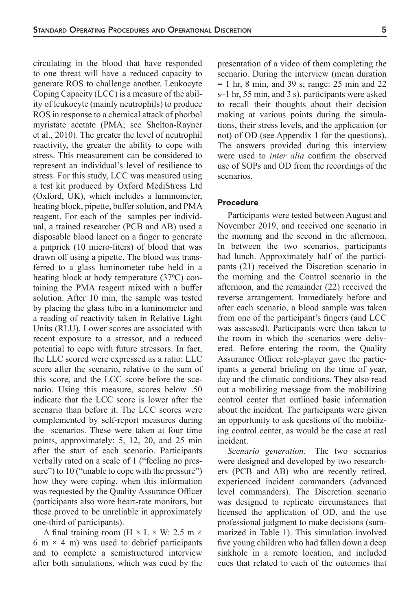circulating in the blood that have responded to one threat will have a reduced capacity to generate ROS to challenge another. Leukocyte Coping Capacity (LCC) is a measure of the ability of leukocyte (mainly neutrophils) to produce ROS in response to a chemical attack of phorbol myristate acetate (PMA; see [Shelton-Rayner](#page-12-21) et [al., 2010\)](#page-12-21). The greater the level of neutrophil reactivity, the greater the ability to cope with stress. This measurement can be considered to represent an individual's level of resilience to stress. For this study, LCC was measured using a test kit produced by Oxford MediStress Ltd (Oxford, UK), which includes a luminometer, heating block, pipette, buffer solution, and PMA reagent. For each of the samples per individual, a trained researcher (PCB and AB) used a disposable blood lancet on a finger to generate a pinprick (10 micro-liters) of blood that was drawn off using a pipette. The blood was transferred to a glass luminometer tube held in a heating block at body temperature (37°C) containing the PMA reagent mixed with a buffer solution. After 10 min, the sample was tested by placing the glass tube in a luminometer and a reading of reactivity taken in Relative Light Units (RLU). Lower scores are associated with recent exposure to a stressor, and a reduced potential to cope with future stressors. In fact, the LLC scored were expressed as a ratio: LLC score after the scenario, relative to the sum of this score, and the LCC score before the scenario. Using this measure, scores below .50 indicate that the LCC score is lower after the scenario than before it. The LCC scores were complemented by self-report measures during the scenarios. These were taken at four time points, approximately: 5, 12, 20, and 25 min after the start of each scenario. Participants verbally rated on a scale of 1 ("feeling no pressure") to 10 ("unable to cope with the pressure") how they were coping, when this information was requested by the Quality Assurance Officer (participants also wore heart-rate monitors, but these proved to be unreliable in approximately one-third of participants).

A final training room (H  $\times$  L  $\times$  W: 2.5 m  $\times$ 6 m  $\times$  4 m) was used to debrief participants and to complete a semistructured interview after both simulations, which was cued by the presentation of a video of them completing the scenario. During the interview (mean duration  $= 1$  hr, 8 min, and 39 s; range: 25 min and 22 s–1 hr, 55 min, and 3 s), participants were asked to recall their thoughts about their decision making at various points during the simulations, their stress levels, and the application (or not) of OD (see Appendix 1 for the questions). The answers provided during this interview were used to *inter alia* confirm the observed use of SOPs and OD from the recordings of the scenarios.

### Procedure

Participants were tested between August and November 2019, and received one scenario in the morning and the second in the afternoon. In between the two scenarios, participants had lunch. Approximately half of the participants (21) received the Discretion scenario in the morning and the Control scenario in the afternoon, and the remainder (22) received the reverse arrangement. Immediately before and after each scenario, a blood sample was taken from one of the participant's fingers (and LCC was assessed). Participants were then taken to the room in which the scenarios were delivered. Before entering the room, the Quality Assurance Officer role-player gave the participants a general briefing on the time of year, day and the climatic conditions. They also read out a mobilizing message from the mobilizing control center that outlined basic information about the incident. The participants were given an opportunity to ask questions of the mobilizing control center, as would be the case at real incident.

*Scenario generation.* The two scenarios were designed and developed by two researchers (PCB and AB) who are recently retired, experienced incident commanders (advanced level commanders). The Discretion scenario was designed to replicate circumstances that licensed the application of OD, and the use professional judgment to make decisions (summarized in [Table](#page-2-0) 1). This simulation involved five young children who had fallen down a deep sinkhole in a remote location, and included cues that related to each of the outcomes that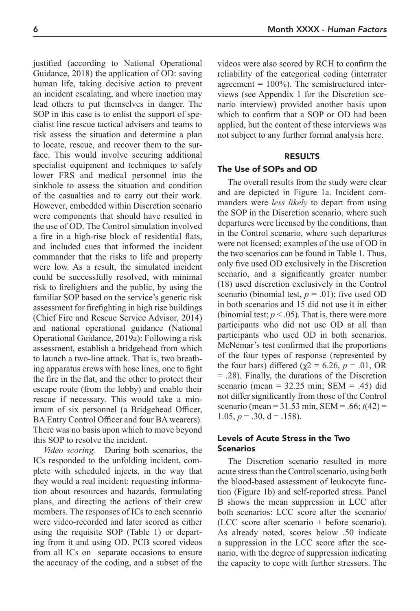justified (according to [National Operational](#page-12-7) [Guidance, 2018\)](#page-12-7) the application of OD: saving human life, taking decisive action to prevent an incident escalating, and where inaction may lead others to put themselves in danger. The SOP in this case is to enlist the support of specialist line rescue tactical advisers and teams to risk assess the situation and determine a plan to locate, rescue, and recover them to the surface. This would involve securing additional specialist equipment and techniques to safely lower FRS and medical personnel into the sinkhole to assess the situation and condition of the casualties and to carry out their work. However, embedded within Discretion scenario were components that should have resulted in the use of OD. The Control simulation involved a fire in a high-rise block of residential flats, and included cues that informed the incident commander that the risks to life and property were low. As a result, the simulated incident could be successfully resolved, with minimal risk to firefighters and the public, by using the familiar SOP based on the service's generic risk assessment for firefighting in high rise buildings [\(Chief Fire and Rescue Service Advisor, 2014](#page-11-0)) and national operational guidance [\(National](#page-12-25) [Operational Guidance, 2019a\)](#page-12-25): Following a risk assessment, establish a bridgehead from which to launch a two-line attack. That is, two breathing apparatus crews with hose lines, one to fight the fire in the flat, and the other to protect their escape route (from the lobby) and enable their rescue if necessary. This would take a minimum of six personnel (a Bridgehead Officer, BA Entry Control Officer and four BA wearers). There was no basis upon which to move beyond this SOP to resolve the incident.

*Video scoring.* During both scenarios, the ICs responded to the unfolding incident, complete with scheduled injects, in the way that they would a real incident: requesting information about resources and hazards, formulating plans, and directing the actions of their crew members. The responses of ICs to each scenario were video-recorded and later scored as either using the requisite SOP [\(Table](#page-2-0) 1) or departing from it and using OD. PCB scored videos from all ICs on separate occasions to ensure the accuracy of the coding, and a subset of the

videos were also scored by RCH to confirm the reliability of the categorical coding (interrater agreement =  $100\%$ ). The semistructured interviews (see Appendix 1 for the Discretion scenario interview) provided another basis upon which to confirm that a SOP or OD had been applied, but the content of these interviews was not subject to any further formal analysis here.

### RESULTS

### The Use of SOPs and OD

The overall results from the study were clear and are depicted in [Figure](#page-6-0) 1a. Incident commanders were *less likely* to depart from using the SOP in the Discretion scenario, where such departures were licensed by the conditions, than in the Control scenario, where such departures were not licensed; examples of the use of OD in the two scenarios can be found in [Table](#page-2-0) 1. Thus, only five used OD exclusively in the Discretion scenario, and a significantly greater number (18) used discretion exclusively in the Control scenario (binomial test,  $p = .01$ ); five used OD in both scenarios and 15 did not use it in either (binomial test;  $p < .05$ ). That is, there were more participants who did not use OD at all than participants who used OD in both scenarios. McNemar's test confirmed that the proportions of the four types of response (represented by the four bars) differed ( $χ$ 2 = 6.26, *p* = .01, OR = .28). Finally, the durations of the Discretion scenario (mean =  $32.25$  min; SEM = .45) did not differ significantly from those of the Control scenario (mean = 31.53 min, SEM = .66; *t*(42) = 1.05,  $p = .30$ ,  $d = .158$ ).

### Levels of Acute Stress in the Two **Scenarios**

The Discretion scenario resulted in more acute stress than the Control scenario, using both the blood-based assessment of leukocyte function ([Figure](#page-6-0) 1b) and self-reported stress. Panel B shows the mean suppression in LCC after both scenarios: LCC score after the scenario/ (LCC score after scenario + before scenario). As already noted, scores below .50 indicate a suppression in the LCC score after the scenario, with the degree of suppression indicating the capacity to cope with further stressors. The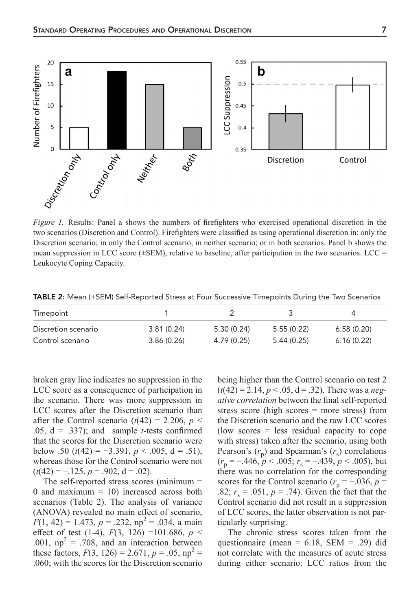

<span id="page-6-0"></span>two scenarios (Discretion and Control). Firefighters were classified as using operational discretion in: only the Discretion scenario; in only the Control scenario; in neither scenario; or in both scenarios. Panel b shows the mean suppression in LCC score  $(\pm$ SEM), relative to baseline, after participation in the two scenarios. LCC = Leukocyte Coping Capacity.

<span id="page-6-1"></span>TABLE 2: Mean (+SEM) Self-Reported Stress at Four Successive Timepoints During the Two Scenarios

| Timepoint           |            |            |            | $\Delta$   |
|---------------------|------------|------------|------------|------------|
| Discretion scenario | 3.81(0.24) | 5.30(0.24) | 5.55(0.22) | 6.58(0.20) |
| Control scenario    | 3.86(0.26) | 4.79(0.25) | 5.44(0.25) | 6.16(0.22) |

broken gray line indicates no suppression in the LCC score as a consequence of participation in the scenario. There was more suppression in LCC scores after the Discretion scenario than after the Control scenario  $(t(42) = 2.206, p <$ .05,  $d = .337$ ); and sample *t*-tests confirmed that the scores for the Discretion scenario were below .50  $(t(42) = -3.391, p < .005, d = .51)$ , whereas those for the Control scenario were not  $(t(42) = -.125, p = .902, d = .02).$ 

The self-reported stress scores (minimum = 0 and maximum  $= 10$ ) increased across both scenarios [\(Table](#page-6-1) 2). The analysis of variance (ANOVA) revealed no main effect of scenario,  $F(1, 42) = 1.473, p = .232, np<sup>2</sup> = .034, a main$ effect of test (1-4),  $F(3, 126) = 101.686$ ,  $p <$ .001,  $np^2 = .708$ , and an interaction between these factors,  $F(3, 126) = 2.671$ ,  $p = .05$ ,  $np^2 =$ .060; with the scores for the Discretion scenario

being higher than the Control scenario on test 2  $(t(42) = 2.14, p < .05, d = .32)$ . There was a *negative correlation* between the final self-reported stress score (high scores = more stress) from the Discretion scenario and the raw LCC scores (low scores = less residual capacity to cope with stress) taken after the scenario, using both Pearson's  $(r_p)$  and Spearman's  $(r_s)$  correlations  $(r_p = -.446, p < .005; r_s = -.439, p < .005)$ , but there was no correlation for the corresponding scores for the Control scenario ( $r_p = -0.036$ ,  $p =$ .82;  $r_s = .051$ ,  $p = .74$ ). Given the fact that the Control scenario did not result in a suppression of LCC scores, the latter observation is not particularly surprising.

The chronic stress scores taken from the questionnaire (mean =  $6.18$ , SEM = .29) did not correlate with the measures of acute stress during either scenario: LCC ratios from the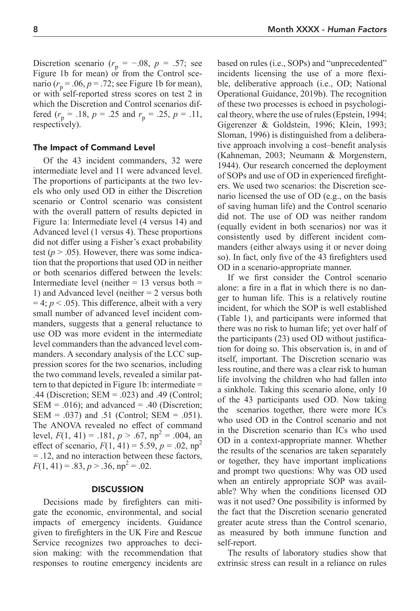Discretion scenario ( $r_p = -.08$ ,  $p = .57$ ; see [Figure](#page-6-0) 1b for mean) or from the Control scenario  $(r_p = .06, p = .72;$  see [Figure](#page-6-0) 1b for mean), or with self-reported stress scores on test 2 in which the Discretion and Control scenarios differed ( $r_p = .18$ ,  $p = .25$  and  $r_p = .25$ ,  $p = .11$ , respectively).

### The Impact of Command Level

Of the 43 incident commanders, 32 were intermediate level and 11 were advanced level. The proportions of participants at the two levels who only used OD in either the Discretion scenario or Control scenario was consistent with the overall pattern of results depicted in [Figure](#page-6-0) 1a: Intermediate level (4 versus 14) and Advanced level (1 versus 4). These proportions did not differ using a Fisher's exact probability test  $(p > .05)$ . However, there was some indication that the proportions that used OD in neither or both scenarios differed between the levels: Intermediate level (neither  $= 13$  versus both  $=$ 1) and Advanced level (neither = 2 versus both  $= 4$ ;  $p < .05$ ). This difference, albeit with a very small number of advanced level incident commanders, suggests that a general reluctance to use OD was more evident in the intermediate level commanders than the advanced level commanders. A secondary analysis of the LCC suppression scores for the two scenarios, including the two command levels, revealed a similar pattern to that depicted in [Figure](#page-6-0) 1b: intermediate = .44 (Discretion; SEM = .023) and .49 (Control;  $SEM = .016$ ); and advanced = .40 (Discretion; SEM = .037) and .51 (Control; SEM = .051). The ANOVA revealed no effect of command level,  $F(1, 41) = .181$ ,  $p > .67$ ,  $np^2 = .004$ , an effect of scenario,  $F(1, 41) = 5.59$ ,  $p = .02$ ,  $np^2$ = .12, and no interaction between these factors,  $F(1, 41) = .83, p > .36, np^2 = .02.$ 

#### **DISCUSSION**

Decisions made by firefighters can mitigate the economic, environmental, and social impacts of emergency incidents. Guidance given to firefighters in the UK Fire and Rescue Service recognizes two approaches to decision making: with the recommendation that responses to routine emergency incidents are based on rules (i.e., SOPs) and "unprecedented" incidents licensing the use of a more flexible, deliberative approach (i.e., OD; [National](#page-12-26) [Operational Guidance, 2019b\)](#page-12-26). The recognition of these two processes is echoed in psychological theory, where the use of rules [\(Epstein, 1994](#page-12-1); [Gigerenzer & Goldstein, 1996](#page-12-2); [Klein, 1993](#page-12-3); [Sloman, 1996\)](#page-12-4) is distinguished from a deliberative approach involving a cost–benefit analysis ([Kahneman, 2003;](#page-12-5) [Neumann & Morgenstern,](#page-12-6) [1944\)](#page-12-6). Our research concerned the deployment of SOPs and use of OD in experienced firefighters. We used two scenarios: the Discretion scenario licensed the use of OD (e.g., on the basis of saving human life) and the Control scenario did not. The use of OD was neither random (equally evident in both scenarios) nor was it consistently used by different incident commanders (either always using it or never doing so). In fact, only five of the 43 firefighters used OD in a scenario-appropriate manner.

If we first consider the Control scenario alone: a fire in a flat in which there is no danger to human life. This is a relatively routine incident, for which the SOP is well established ([Table](#page-2-0) 1), and participants were informed that there was no risk to human life; yet over half of the participants (23) used OD without justification for doing so. This observation is, in and of itself, important. The Discretion scenario was less routine, and there was a clear risk to human life involving the children who had fallen into a sinkhole. Taking this scenario alone, only 10 of the 43 participants used OD. Now taking the scenarios together, there were more ICs who used OD in the Control scenario and not in the Discretion scenario than ICs who used OD in a context-appropriate manner. Whether the results of the scenarios are taken separately or together, they have important implications and prompt two questions: Why was OD used when an entirely appropriate SOP was available? Why when the conditions licensed OD was it not used? One possibility is informed by the fact that the Discretion scenario generated greater acute stress than the Control scenario, as measured by both immune function and self-report.

The results of laboratory studies show that extrinsic stress can result in a reliance on rules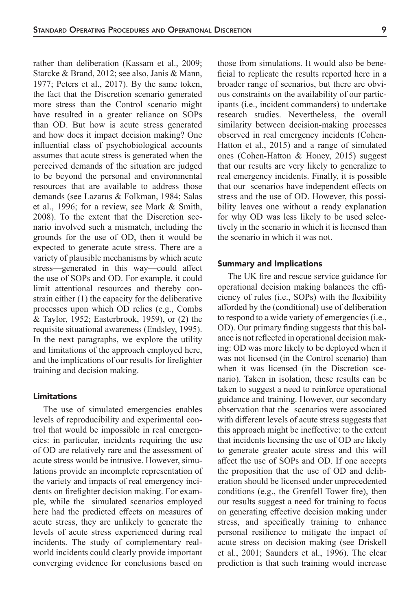rather than deliberation [\(Kassam et](#page-12-13) al., 2009; [Starcke & Brand, 2012;](#page-12-11) see also, [Janis & Mann,](#page-12-12) [1977](#page-12-12); Peters et [al., 2017\)](#page-12-14). By the same token, the fact that the Discretion scenario generated more stress than the Control scenario might have resulted in a greater reliance on SOPs than OD. But how is acute stress generated and how does it impact decision making? One influential class of psychobiological accounts assumes that acute stress is generated when the perceived demands of the situation are judged to be beyond the personal and environmental resources that are available to address those demands (see [Lazarus & Folkman, 1984](#page-12-8); [Salas](#page-12-19) et [al., 1996](#page-12-19); for a review, see [Mark & Smith,](#page-12-18) [2008](#page-12-18)). To the extent that the Discretion scenario involved such a mismatch, including the grounds for the use of OD, then it would be expected to generate acute stress. There are a variety of plausible mechanisms by which acute stress—generated in this way—could affect the use of SOPs and OD. For example, it could limit attentional resources and thereby constrain either (1) the capacity for the deliberative processes upon which OD relies (e.g., [Combs](#page-11-1) [& Taylor, 1952](#page-11-1); [Easterbrook, 1959](#page-12-27)), or (2) the requisite situational awareness [\(Endsley, 1995](#page-12-28)). In the next paragraphs, we explore the utility and limitations of the approach employed here, and the implications of our results for firefighter training and decision making.

### Limitations

The use of simulated emergencies enables levels of reproducibility and experimental control that would be impossible in real emergencies: in particular, incidents requiring the use of OD are relatively rare and the assessment of acute stress would be intrusive. However, simulations provide an incomplete representation of the variety and impacts of real emergency incidents on firefighter decision making. For example, while the simulated scenarios employed here had the predicted effects on measures of acute stress, they are unlikely to generate the levels of acute stress experienced during real incidents. The study of complementary realworld incidents could clearly provide important converging evidence for conclusions based on

those from simulations. It would also be beneficial to replicate the results reported here in a broader range of scenarios, but there are obvious constraints on the availability of our participants (i.e., incident commanders) to undertake research studies. Nevertheless, the overall similarity between decision-making processes observed in real emergency incidents [\(Cohen-](#page-11-2)[Hatton et](#page-11-2) al., 2015) and a range of simulated ones ([Cohen-Hatton & Honey, 2015](#page-11-3)) suggest that our results are very likely to generalize to real emergency incidents. Finally, it is possible that our scenarios have independent effects on stress and the use of OD. However, this possibility leaves one without a ready explanation for why OD was less likely to be used selectively in the scenario in which it is licensed than the scenario in which it was not.

### Summary and Implications

The UK fire and rescue service guidance for operational decision making balances the efficiency of rules (i.e., SOPs) with the flexibility afforded by the (conditional) use of deliberation to respond to a wide variety of emergencies (i.e., OD). Our primary finding suggests that this balance is not reflected in operational decision making: OD was more likely to be deployed when it was not licensed (in the Control scenario) than when it was licensed (in the Discretion scenario). Taken in isolation, these results can be taken to suggest a need to reinforce operational guidance and training. However, our secondary observation that the scenarios were associated with different levels of acute stress suggests that this approach might be ineffective: to the extent that incidents licensing the use of OD are likely to generate greater acute stress and this will affect the use of SOPs and OD. If one accepts the proposition that the use of OD and deliberation should be licensed under unprecedented conditions (e.g., the Grenfell Tower fire), then our results suggest a need for training to focus on generating effective decision making under stress, and specifically training to enhance personal resilience to mitigate the impact of acute stress on decision making (see [Driskell](#page-12-29)  et [al., 2001](#page-12-29); [Saunders et](#page-12-30) al., 1996). The clear prediction is that such training would increase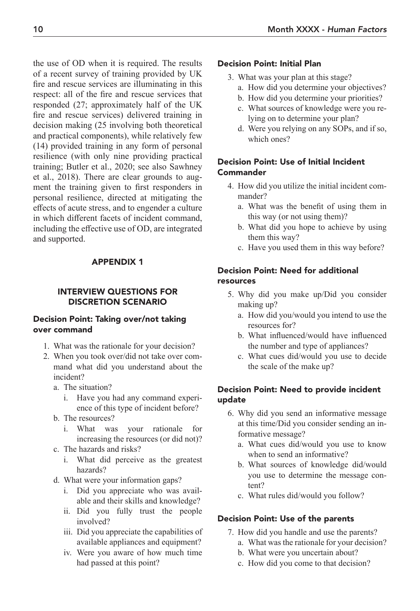the use of OD when it is required. The results of a recent survey of training provided by UK fire and rescue services are illuminating in this respect: all of the fire and rescue services that responded (27; approximately half of the UK fire and rescue services) delivered training in decision making (25 involving both theoretical and practical components), while relatively few (14) provided training in any form of personal resilience (with only nine providing practical training; [Butler et](#page-11-4) al., 2020; see also [Sawhney](#page-12-31) et [al., 2018\)](#page-12-31). There are clear grounds to augment the training given to first responders in personal resilience, directed at mitigating the effects of acute stress, and to engender a culture in which different facets of incident command, including the effective use of OD, are integrated and supported.

# APPENDIX 1

# INTERVIEW QUESTIONS FOR DISCRETION SCENARIO

### Decision Point: Taking over/not taking over command

- 1. What was the rationale for your decision?
- 2. When you took over/did not take over command what did you understand about the incident?
	- a. The situation?
		- i. Have you had any command experience of this type of incident before?
	- b. The resources?
		- i. What was your rationale for increasing the resources (or did not)?
	- c. The hazards and risks?
		- i. What did perceive as the greatest hazards?
	- d. What were your information gaps?
		- i. Did you appreciate who was available and their skills and knowledge?
		- ii. Did you fully trust the people involved?
		- iii. Did you appreciate the capabilities of available appliances and equipment?
		- iv. Were you aware of how much time had passed at this point?

### Decision Point: Initial Plan

- 3. What was your plan at this stage?
	- a. How did you determine your objectives?
	- b. How did you determine your priorities?
	- c. What sources of knowledge were you relying on to determine your plan?
	- d. Were you relying on any SOPs, and if so, which ones?

# Decision Point: Use of Initial Incident **Commander**

- 4. How did you utilize the initial incident commander?
	- a. What was the benefit of using them in this way (or not using them)?
	- b. What did you hope to achieve by using them this way?
	- c. Have you used them in this way before?

# Decision Point: Need for additional resources

- 5. Why did you make up/Did you consider making up?
	- a. How did you/would you intend to use the resources for?
	- b. What influenced/would have influenced the number and type of appliances?
	- c. What cues did/would you use to decide the scale of the make up?

# Decision Point: Need to provide incident update

- 6. Why did you send an informative message at this time/Did you consider sending an informative message?
	- a. What cues did/would you use to know when to send an informative?
	- b. What sources of knowledge did/would you use to determine the message content?
	- c. What rules did/would you follow?

# Decision Point: Use of the parents

- 7. How did you handle and use the parents?
	- a. What was the rationale for your decision?
	- b. What were you uncertain about?
	- c. How did you come to that decision?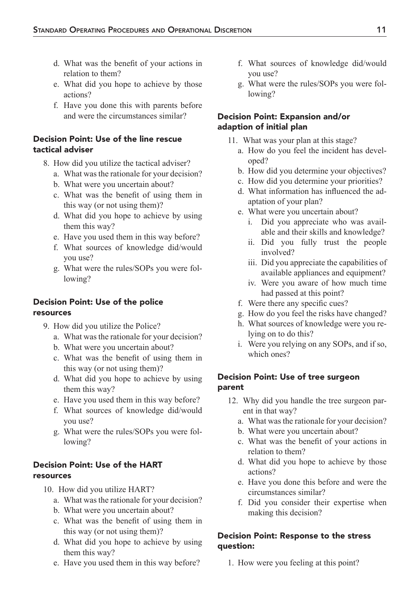- d. What was the benefit of your actions in relation to them?
- e. What did you hope to achieve by those actions?
- f. Have you done this with parents before and were the circumstances similar?

# Decision Point: Use of the line rescue tactical adviser

- 8. How did you utilize the tactical adviser?
	- a. What was the rationale for your decision?
	- b. What were you uncertain about?
	- c. What was the benefit of using them in this way (or not using them)?
	- d. What did you hope to achieve by using them this way?
	- e. Have you used them in this way before?
	- f. What sources of knowledge did/would you use?
	- g. What were the rules/SOPs you were following?

# Decision Point: Use of the police resources

- 9. How did you utilize the Police?
	- a. What was the rationale for your decision?
	- b. What were you uncertain about?
	- c. What was the benefit of using them in this way (or not using them)?
	- d. What did you hope to achieve by using them this way?
	- e. Have you used them in this way before?
	- f. What sources of knowledge did/would you use?
	- g. What were the rules/SOPs you were following?

# Decision Point: Use of the HART resources

- 10. How did you utilize HART?
	- a. What was the rationale for your decision?
	- b. What were you uncertain about?
	- c. What was the benefit of using them in this way (or not using them)?
	- d. What did you hope to achieve by using them this way?
	- e. Have you used them in this way before?
- f. What sources of knowledge did/would you use?
- g. What were the rules/SOPs you were following?

# Decision Point: Expansion and/or adaption of initial plan

- 11. What was your plan at this stage?
	- a. How do you feel the incident has developed?
	- b. How did you determine your objectives?
	- c. How did you determine your priorities?
	- d. What information has influenced the adaptation of your plan?
	- e. What were you uncertain about?
		- i. Did you appreciate who was available and their skills and knowledge?
		- ii. Did you fully trust the people involved?
		- iii. Did you appreciate the capabilities of available appliances and equipment?
		- iv. Were you aware of how much time had passed at this point?
	- f. Were there any specific cues?
	- g. How do you feel the risks have changed?
	- h. What sources of knowledge were you relying on to do this?
	- i. Were you relying on any SOPs, and if so, which ones?

# Decision Point: Use of tree surgeon parent

- 12. Why did you handle the tree surgeon parent in that way?
	- a. What was the rationale for your decision?
	- b. What were you uncertain about?
	- c. What was the benefit of your actions in relation to them?
	- d. What did you hope to achieve by those actions?
	- e. Have you done this before and were the circumstances similar?
	- f. Did you consider their expertise when making this decision?

# Decision Point: Response to the stress question:

1. How were you feeling at this point?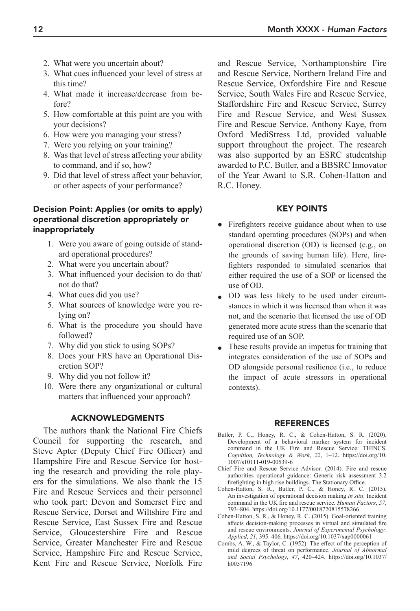- 2. What were you uncertain about?
- 3. What cues influenced your level of stress at this time?
- 4. What made it increase/decrease from before?
- 5. How comfortable at this point are you with your decisions?
- 6. How were you managing your stress?
- 7. Were you relying on your training?
- 8. Was that level of stress affecting your ability to command, and if so, how?
- 9. Did that level of stress affect your behavior, or other aspects of your performance?

### Decision Point: Applies (or omits to apply) operational discretion appropriately or inappropriately

- 1. Were you aware of going outside of standard operational procedures?
- 2. What were you uncertain about?
- 3. What influenced your decision to do that/ not do that?
- 4. What cues did you use?
- 5. What sources of knowledge were you relying on?
- 6. What is the procedure you should have followed?
- 7. Why did you stick to using SOPs?
- 8. Does your FRS have an Operational Discretion SOP?
- 9. Why did you not follow it?
- 10. Were there any organizational or cultural matters that influenced your approach?

### ACKNOWLEDGMENTS

The authors thank the National Fire Chiefs Council for supporting the research, and Steve Apter (Deputy Chief Fire Officer) and Hampshire Fire and Rescue Service for hosting the research and providing the role players for the simulations. We also thank the 15 Fire and Rescue Services and their personnel who took part: Devon and Somerset Fire and Rescue Service, Dorset and Wiltshire Fire and Rescue Service, East Sussex Fire and Rescue Service, Gloucestershire Fire and Rescue Service, Greater Manchester Fire and Rescue Service, Hampshire Fire and Rescue Service, Kent Fire and Rescue Service, Norfolk Fire

and Rescue Service, Northamptonshire Fire and Rescue Service, Northern Ireland Fire and Rescue Service, Oxfordshire Fire and Rescue Service, South Wales Fire and Rescue Service, Staffordshire Fire and Rescue Service, Surrey Fire and Rescue Service, and West Sussex Fire and Rescue Service. Anthony Kaye, from Oxford MediStress Ltd, provided valuable support throughout the project. The research was also supported by an ESRC studentship awarded to P.C. Butler, and a BBSRC Innovator of the Year Award to S.R. Cohen-Hatton and R.C. Honey.

#### KEY POINTS

- Firefighters receive guidance about when to use standard operating procedures (SOPs) and when operational discretion (OD) is licensed (e.g., on the grounds of saving human life). Here, firefighters responded to simulated scenarios that either required the use of a SOP or licensed the use of OD.
- OD was less likely to be used under circumstances in which it was licensed than when it was not, and the scenario that licensed the use of OD generated more acute stress than the scenario that required use of an SOP.
- These results provide an impetus for training that integrates consideration of the use of SOPs and OD alongside personal resilience (i.e., to reduce the impact of acute stressors in operational contexts).

#### REFERENCES

- <span id="page-11-4"></span>Butler, P. C., Honey, R. C., & Cohen-Hatton, S. R. (2020). Development of a behavioral marker system for incident command in the UK Fire and Rescue Service: THINCS. *Cognition, Technology & Work*, *22*, 1–12. [https://doi.org/10.](https://doi.org/10.1007/s10111-019-00539-6) [1007/s10111-019-00539-6](https://doi.org/10.1007/s10111-019-00539-6)
- <span id="page-11-0"></span>Chief Fire and Rescue Service Advisor. (2014). Fire and rescue authorities operational guidance: Generic risk assessment 3.2 firefighting in high rise buildings. The Stationary Office.
- <span id="page-11-2"></span>Cohen-Hatton, S. R., Butler, P. C., & Honey, R. C. (2015). An investigation of operational decision making *in situ*: Incident command in the UK fire and rescue service. *Human Factors*, *57*, 793–804. <https://doi.org/10.1177/0018720815578266>
- <span id="page-11-3"></span>Cohen-Hatton, S. R., & Honey, R. C. (2015). Goal-oriented training affects decision-making processes in virtual and simulated fire and rescue environments. *Journal of Experimental Psychology: Applied*, *21*, 395–406. <https://doi.org/10.1037/xap0000061>
- <span id="page-11-1"></span>Combs, A. W., & Taylor, C. (1952). The effect of the perception of mild degrees of threat on performance. *Journal of Abnormal and Social Psychology*, *47*, 420–424. [https://doi.org/10.1037/](https://doi.org/10.1037/h0057196) [h0057196](https://doi.org/10.1037/h0057196)